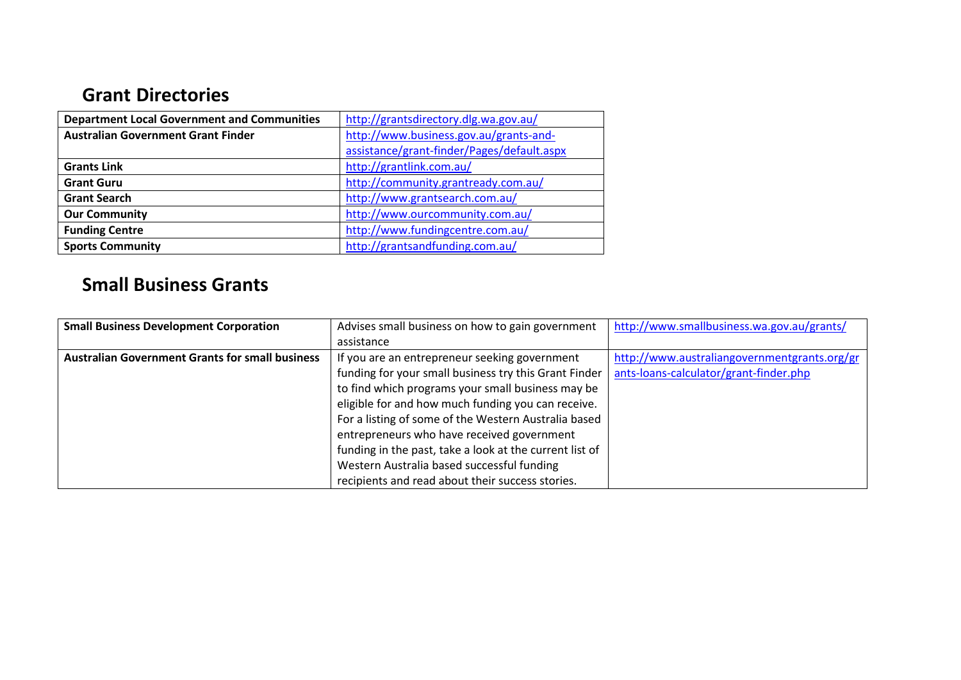## **Grant Directories**

| <b>Department Local Government and Communities</b> | http://grantsdirectory.dlg.wa.gov.au/      |
|----------------------------------------------------|--------------------------------------------|
| <b>Australian Government Grant Finder</b>          | http://www.business.gov.au/grants-and-     |
|                                                    | assistance/grant-finder/Pages/default.aspx |
| <b>Grants Link</b>                                 | http://grantlink.com.au/                   |
| <b>Grant Guru</b>                                  | http://community.grantready.com.au/        |
| <b>Grant Search</b>                                | http://www.grantsearch.com.au/             |
| <b>Our Community</b>                               | http://www.ourcommunity.com.au/            |
| <b>Funding Centre</b>                              | http://www.fundingcentre.com.au/           |
| <b>Sports Community</b>                            | http://grantsandfunding.com.au/            |

## **Small Business Grants**

| <b>Small Business Development Corporation</b>          | Advises small business on how to gain government        | http://www.smallbusiness.wa.gov.au/grants/   |
|--------------------------------------------------------|---------------------------------------------------------|----------------------------------------------|
|                                                        | assistance                                              |                                              |
| <b>Australian Government Grants for small business</b> | If you are an entrepreneur seeking government           | http://www.australiangovernmentgrants.org/gr |
|                                                        | funding for your small business try this Grant Finder   | ants-loans-calculator/grant-finder.php       |
|                                                        | to find which programs your small business may be       |                                              |
|                                                        | eligible for and how much funding you can receive.      |                                              |
|                                                        | For a listing of some of the Western Australia based    |                                              |
|                                                        | entrepreneurs who have received government              |                                              |
|                                                        | funding in the past, take a look at the current list of |                                              |
|                                                        | Western Australia based successful funding              |                                              |
|                                                        | recipients and read about their success stories.        |                                              |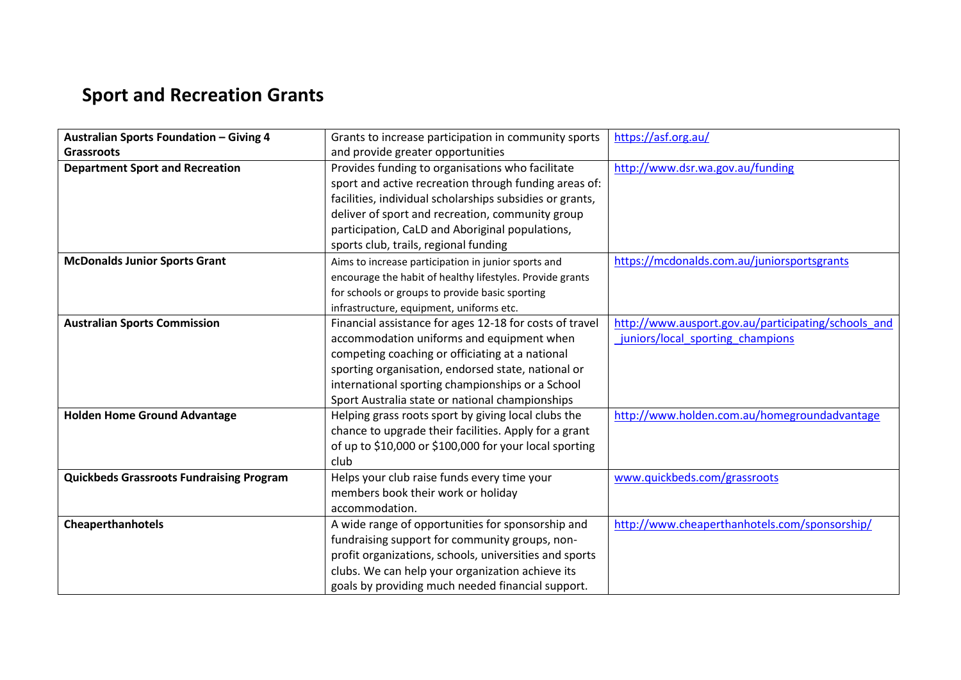## **Sport and Recreation Grants**

| <b>Australian Sports Foundation - Giving 4</b>  | Grants to increase participation in community sports      | https://asf.org.au/                                 |
|-------------------------------------------------|-----------------------------------------------------------|-----------------------------------------------------|
| <b>Grassroots</b>                               | and provide greater opportunities                         |                                                     |
| <b>Department Sport and Recreation</b>          | Provides funding to organisations who facilitate          | http://www.dsr.wa.gov.au/funding                    |
|                                                 | sport and active recreation through funding areas of:     |                                                     |
|                                                 | facilities, individual scholarships subsidies or grants,  |                                                     |
|                                                 | deliver of sport and recreation, community group          |                                                     |
|                                                 | participation, CaLD and Aboriginal populations,           |                                                     |
|                                                 | sports club, trails, regional funding                     |                                                     |
| <b>McDonalds Junior Sports Grant</b>            | Aims to increase participation in junior sports and       | https://mcdonalds.com.au/juniorsportsgrants         |
|                                                 | encourage the habit of healthy lifestyles. Provide grants |                                                     |
|                                                 | for schools or groups to provide basic sporting           |                                                     |
|                                                 | infrastructure, equipment, uniforms etc.                  |                                                     |
| <b>Australian Sports Commission</b>             | Financial assistance for ages 12-18 for costs of travel   | http://www.ausport.gov.au/participating/schools and |
|                                                 | accommodation uniforms and equipment when                 | juniors/local sporting champions                    |
|                                                 | competing coaching or officiating at a national           |                                                     |
|                                                 | sporting organisation, endorsed state, national or        |                                                     |
|                                                 | international sporting championships or a School          |                                                     |
|                                                 | Sport Australia state or national championships           |                                                     |
| <b>Holden Home Ground Advantage</b>             | Helping grass roots sport by giving local clubs the       | http://www.holden.com.au/homegroundadvantage        |
|                                                 | chance to upgrade their facilities. Apply for a grant     |                                                     |
|                                                 | of up to \$10,000 or \$100,000 for your local sporting    |                                                     |
|                                                 | club                                                      |                                                     |
| <b>Quickbeds Grassroots Fundraising Program</b> | Helps your club raise funds every time your               | www.quickbeds.com/grassroots                        |
|                                                 | members book their work or holiday                        |                                                     |
|                                                 | accommodation.                                            |                                                     |
| <b>Cheaperthanhotels</b>                        | A wide range of opportunities for sponsorship and         | http://www.cheaperthanhotels.com/sponsorship/       |
|                                                 | fundraising support for community groups, non-            |                                                     |
|                                                 | profit organizations, schools, universities and sports    |                                                     |
|                                                 | clubs. We can help your organization achieve its          |                                                     |
|                                                 | goals by providing much needed financial support.         |                                                     |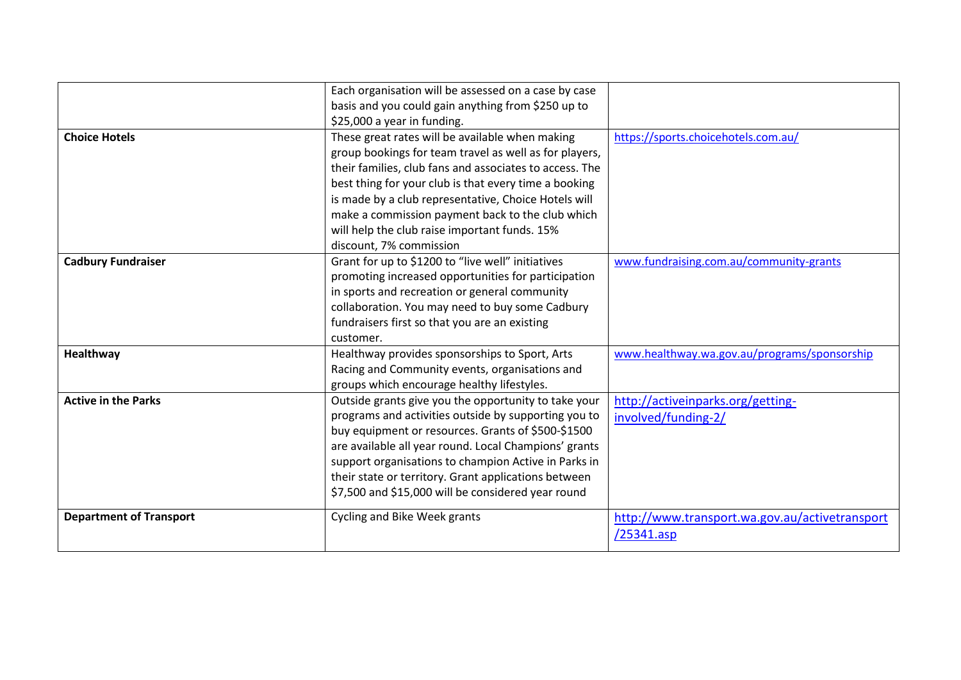|                                | Each organisation will be assessed on a case by case    |                                                |
|--------------------------------|---------------------------------------------------------|------------------------------------------------|
|                                | basis and you could gain anything from \$250 up to      |                                                |
|                                | \$25,000 a year in funding.                             |                                                |
| <b>Choice Hotels</b>           | These great rates will be available when making         | https://sports.choicehotels.com.au/            |
|                                | group bookings for team travel as well as for players,  |                                                |
|                                | their families, club fans and associates to access. The |                                                |
|                                | best thing for your club is that every time a booking   |                                                |
|                                | is made by a club representative, Choice Hotels will    |                                                |
|                                | make a commission payment back to the club which        |                                                |
|                                | will help the club raise important funds. 15%           |                                                |
|                                | discount, 7% commission                                 |                                                |
| <b>Cadbury Fundraiser</b>      | Grant for up to \$1200 to "live well" initiatives       | www.fundraising.com.au/community-grants        |
|                                | promoting increased opportunities for participation     |                                                |
|                                | in sports and recreation or general community           |                                                |
|                                | collaboration. You may need to buy some Cadbury         |                                                |
|                                | fundraisers first so that you are an existing           |                                                |
|                                | customer.                                               |                                                |
| Healthway                      | Healthway provides sponsorships to Sport, Arts          | www.healthway.wa.gov.au/programs/sponsorship   |
|                                | Racing and Community events, organisations and          |                                                |
|                                | groups which encourage healthy lifestyles.              |                                                |
| <b>Active in the Parks</b>     | Outside grants give you the opportunity to take your    | http://activeinparks.org/getting-              |
|                                | programs and activities outside by supporting you to    | involved/funding-2/                            |
|                                | buy equipment or resources. Grants of \$500-\$1500      |                                                |
|                                | are available all year round. Local Champions' grants   |                                                |
|                                | support organisations to champion Active in Parks in    |                                                |
|                                | their state or territory. Grant applications between    |                                                |
|                                | \$7,500 and \$15,000 will be considered year round      |                                                |
| <b>Department of Transport</b> | Cycling and Bike Week grants                            | http://www.transport.wa.gov.au/activetransport |
|                                |                                                         | /25341.asp                                     |
|                                |                                                         |                                                |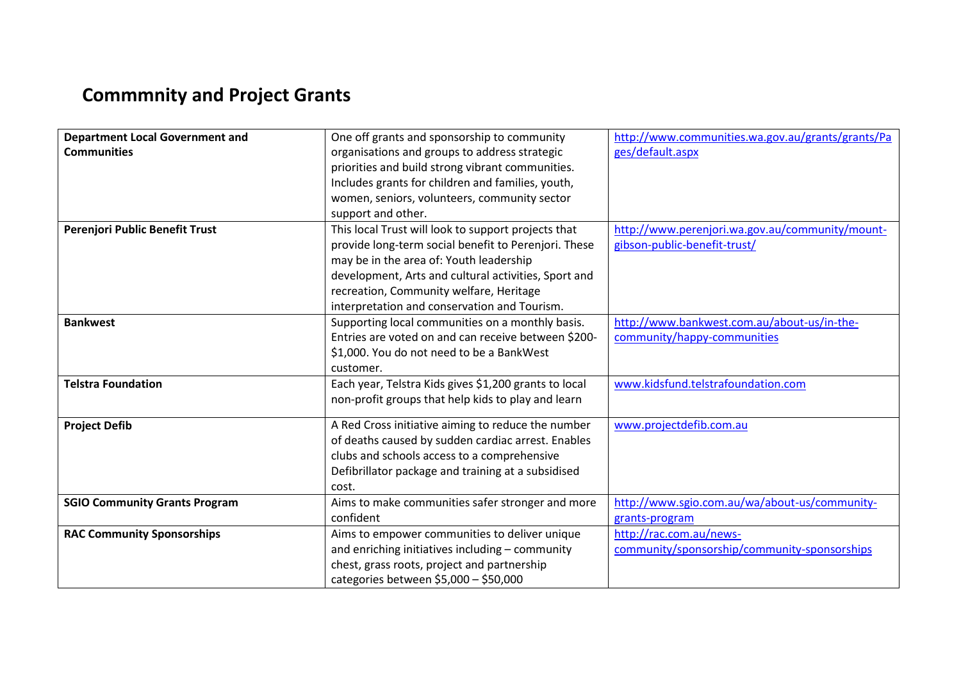## **Commmnity and Project Grants**

| <b>Department Local Government and</b> | One off grants and sponsorship to community           | http://www.communities.wa.gov.au/grants/grants/Pa |
|----------------------------------------|-------------------------------------------------------|---------------------------------------------------|
| <b>Communities</b>                     | organisations and groups to address strategic         | ges/default.aspx                                  |
|                                        | priorities and build strong vibrant communities.      |                                                   |
|                                        | Includes grants for children and families, youth,     |                                                   |
|                                        | women, seniors, volunteers, community sector          |                                                   |
|                                        | support and other.                                    |                                                   |
| Perenjori Public Benefit Trust         | This local Trust will look to support projects that   | http://www.perenjori.wa.gov.au/community/mount-   |
|                                        | provide long-term social benefit to Perenjori. These  | gibson-public-benefit-trust/                      |
|                                        | may be in the area of: Youth leadership               |                                                   |
|                                        | development, Arts and cultural activities, Sport and  |                                                   |
|                                        | recreation, Community welfare, Heritage               |                                                   |
|                                        | interpretation and conservation and Tourism.          |                                                   |
| <b>Bankwest</b>                        | Supporting local communities on a monthly basis.      | http://www.bankwest.com.au/about-us/in-the-       |
|                                        | Entries are voted on and can receive between \$200-   | community/happy-communities                       |
|                                        | \$1,000. You do not need to be a BankWest             |                                                   |
|                                        | customer.                                             |                                                   |
| <b>Telstra Foundation</b>              | Each year, Telstra Kids gives \$1,200 grants to local | www.kidsfund.telstrafoundation.com                |
|                                        | non-profit groups that help kids to play and learn    |                                                   |
| <b>Project Defib</b>                   | A Red Cross initiative aiming to reduce the number    | www.projectdefib.com.au                           |
|                                        | of deaths caused by sudden cardiac arrest. Enables    |                                                   |
|                                        | clubs and schools access to a comprehensive           |                                                   |
|                                        | Defibrillator package and training at a subsidised    |                                                   |
|                                        | cost.                                                 |                                                   |
| <b>SGIO Community Grants Program</b>   | Aims to make communities safer stronger and more      | http://www.sgio.com.au/wa/about-us/community-     |
|                                        | confident                                             | grants-program                                    |
| <b>RAC Community Sponsorships</b>      | Aims to empower communities to deliver unique         | http://rac.com.au/news-                           |
|                                        | and enriching initiatives including - community       | community/sponsorship/community-sponsorships      |
|                                        | chest, grass roots, project and partnership           |                                                   |
|                                        | categories between $$5,000 - $50,000$                 |                                                   |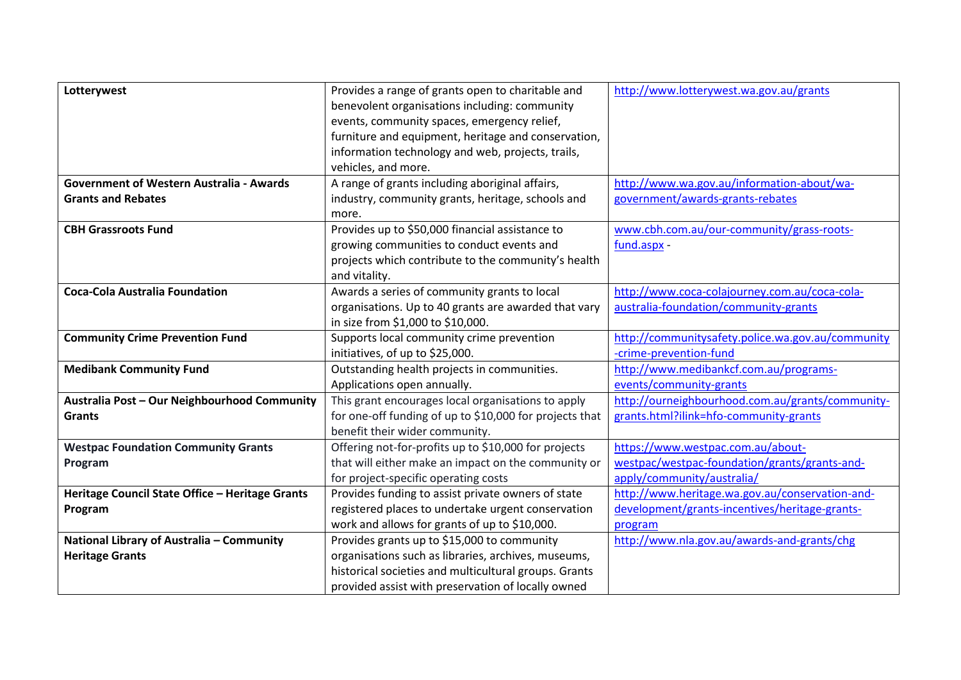| Lotterywest                                     | Provides a range of grants open to charitable and       | http://www.lotterywest.wa.gov.au/grants           |
|-------------------------------------------------|---------------------------------------------------------|---------------------------------------------------|
|                                                 | benevolent organisations including: community           |                                                   |
|                                                 | events, community spaces, emergency relief,             |                                                   |
|                                                 | furniture and equipment, heritage and conservation,     |                                                   |
|                                                 | information technology and web, projects, trails,       |                                                   |
|                                                 | vehicles, and more.                                     |                                                   |
| <b>Government of Western Australia - Awards</b> | A range of grants including aboriginal affairs,         | http://www.wa.gov.au/information-about/wa-        |
| <b>Grants and Rebates</b>                       | industry, community grants, heritage, schools and       | government/awards-grants-rebates                  |
|                                                 | more.                                                   |                                                   |
| <b>CBH Grassroots Fund</b>                      | Provides up to \$50,000 financial assistance to         | www.cbh.com.au/our-community/grass-roots-         |
|                                                 | growing communities to conduct events and               | fund.aspx -                                       |
|                                                 | projects which contribute to the community's health     |                                                   |
|                                                 | and vitality.                                           |                                                   |
| <b>Coca-Cola Australia Foundation</b>           | Awards a series of community grants to local            | http://www.coca-colajourney.com.au/coca-cola-     |
|                                                 | organisations. Up to 40 grants are awarded that vary    | australia-foundation/community-grants             |
|                                                 | in size from \$1,000 to \$10,000.                       |                                                   |
| <b>Community Crime Prevention Fund</b>          | Supports local community crime prevention               | http://communitysafety.police.wa.gov.au/community |
|                                                 | initiatives, of up to \$25,000.                         | -crime-prevention-fund                            |
| <b>Medibank Community Fund</b>                  | Outstanding health projects in communities.             | http://www.medibankcf.com.au/programs-            |
|                                                 | Applications open annually.                             | events/community-grants                           |
| Australia Post - Our Neighbourhood Community    | This grant encourages local organisations to apply      | http://ourneighbourhood.com.au/grants/community-  |
| <b>Grants</b>                                   | for one-off funding of up to \$10,000 for projects that | grants.html?ilink=hfo-community-grants            |
|                                                 | benefit their wider community.                          |                                                   |
| <b>Westpac Foundation Community Grants</b>      | Offering not-for-profits up to \$10,000 for projects    | https://www.westpac.com.au/about-                 |
| Program                                         | that will either make an impact on the community or     | westpac/westpac-foundation/grants/grants-and-     |
|                                                 | for project-specific operating costs                    | apply/community/australia/                        |
| Heritage Council State Office - Heritage Grants | Provides funding to assist private owners of state      | http://www.heritage.wa.gov.au/conservation-and-   |
| Program                                         | registered places to undertake urgent conservation      | development/grants-incentives/heritage-grants-    |
|                                                 | work and allows for grants of up to \$10,000.           | program                                           |
| National Library of Australia - Community       | Provides grants up to \$15,000 to community             | http://www.nla.gov.au/awards-and-grants/chg       |
| <b>Heritage Grants</b>                          | organisations such as libraries, archives, museums,     |                                                   |
|                                                 | historical societies and multicultural groups. Grants   |                                                   |
|                                                 | provided assist with preservation of locally owned      |                                                   |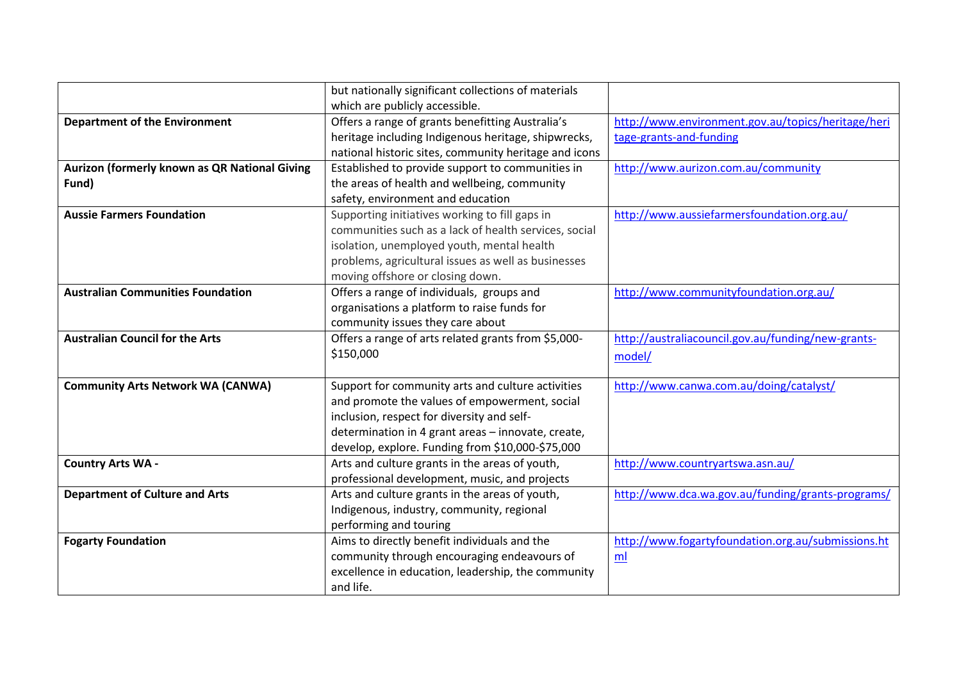|                                               | but nationally significant collections of materials   |                                                    |
|-----------------------------------------------|-------------------------------------------------------|----------------------------------------------------|
|                                               | which are publicly accessible.                        |                                                    |
| <b>Department of the Environment</b>          | Offers a range of grants benefitting Australia's      | http://www.environment.gov.au/topics/heritage/heri |
|                                               | heritage including Indigenous heritage, shipwrecks,   | tage-grants-and-funding                            |
|                                               | national historic sites, community heritage and icons |                                                    |
| Aurizon (formerly known as QR National Giving | Established to provide support to communities in      | http://www.aurizon.com.au/community                |
| Fund)                                         | the areas of health and wellbeing, community          |                                                    |
|                                               | safety, environment and education                     |                                                    |
| <b>Aussie Farmers Foundation</b>              | Supporting initiatives working to fill gaps in        | http://www.aussiefarmersfoundation.org.au/         |
|                                               | communities such as a lack of health services, social |                                                    |
|                                               | isolation, unemployed youth, mental health            |                                                    |
|                                               | problems, agricultural issues as well as businesses   |                                                    |
|                                               | moving offshore or closing down.                      |                                                    |
| <b>Australian Communities Foundation</b>      | Offers a range of individuals, groups and             | http://www.communityfoundation.org.au/             |
|                                               | organisations a platform to raise funds for           |                                                    |
|                                               | community issues they care about                      |                                                    |
| <b>Australian Council for the Arts</b>        | Offers a range of arts related grants from \$5,000-   | http://australiacouncil.gov.au/funding/new-grants- |
|                                               | \$150,000                                             | model/                                             |
|                                               |                                                       |                                                    |
| <b>Community Arts Network WA (CANWA)</b>      | Support for community arts and culture activities     | http://www.canwa.com.au/doing/catalyst/            |
|                                               | and promote the values of empowerment, social         |                                                    |
|                                               | inclusion, respect for diversity and self-            |                                                    |
|                                               | determination in 4 grant areas - innovate, create,    |                                                    |
|                                               | develop, explore. Funding from \$10,000-\$75,000      |                                                    |
| <b>Country Arts WA -</b>                      | Arts and culture grants in the areas of youth,        | http://www.countryartswa.asn.au/                   |
|                                               | professional development, music, and projects         |                                                    |
| <b>Department of Culture and Arts</b>         | Arts and culture grants in the areas of youth,        | http://www.dca.wa.gov.au/funding/grants-programs/  |
|                                               | Indigenous, industry, community, regional             |                                                    |
|                                               | performing and touring                                |                                                    |
| <b>Fogarty Foundation</b>                     | Aims to directly benefit individuals and the          | http://www.fogartyfoundation.org.au/submissions.ht |
|                                               | community through encouraging endeavours of           | m <sub>l</sub>                                     |
|                                               | excellence in education, leadership, the community    |                                                    |
|                                               | and life.                                             |                                                    |